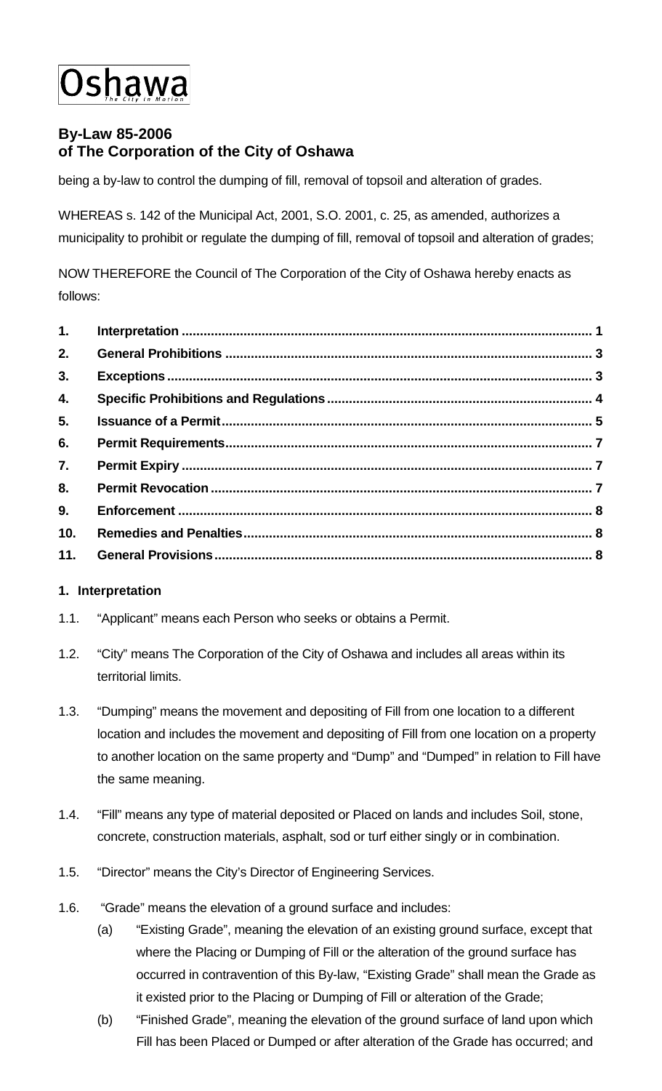# Jshawa

# **By-Law 85-2006 of The Corporation of the City of Oshawa**

being a by-law to control the dumping of fill, removal of topsoil and alteration of grades.

WHEREAS s. 142 of the Municipal Act, 2001, S.O. 2001, c. 25, as amended, authorizes a municipality to prohibit or regulate the dumping of fill, removal of topsoil and alteration of grades;

NOW THEREFORE the Council of The Corporation of the City of Oshawa hereby enacts as follows:

| 1.              |  |
|-----------------|--|
| 2.              |  |
| 3.              |  |
| 4.              |  |
| 5.              |  |
| 6.              |  |
| 7.              |  |
| 8.              |  |
| 9.              |  |
| 10 <sub>1</sub> |  |
|                 |  |

# <span id="page-0-0"></span>**1. Interpretation**

- 1.1. "Applicant" means each Person who seeks or obtains a Permit.
- 1.2. "City" means The Corporation of the City of Oshawa and includes all areas within its territorial limits.
- 1.3. "Dumping" means the movement and depositing of Fill from one location to a different location and includes the movement and depositing of Fill from one location on a property to another location on the same property and "Dump" and "Dumped" in relation to Fill have the same meaning.
- 1.4. "Fill" means any type of material deposited or Placed on lands and includes Soil, stone, concrete, construction materials, asphalt, sod or turf either singly or in combination.
- 1.5. "Director" means the City's Director of Engineering Services.
- 1.6. "Grade" means the elevation of a ground surface and includes:
	- (a) "Existing Grade", meaning the elevation of an existing ground surface, except that where the Placing or Dumping of Fill or the alteration of the ground surface has occurred in contravention of this By-law, "Existing Grade" shall mean the Grade as it existed prior to the Placing or Dumping of Fill or alteration of the Grade;
	- (b) "Finished Grade", meaning the elevation of the ground surface of land upon which Fill has been Placed or Dumped or after alteration of the Grade has occurred; and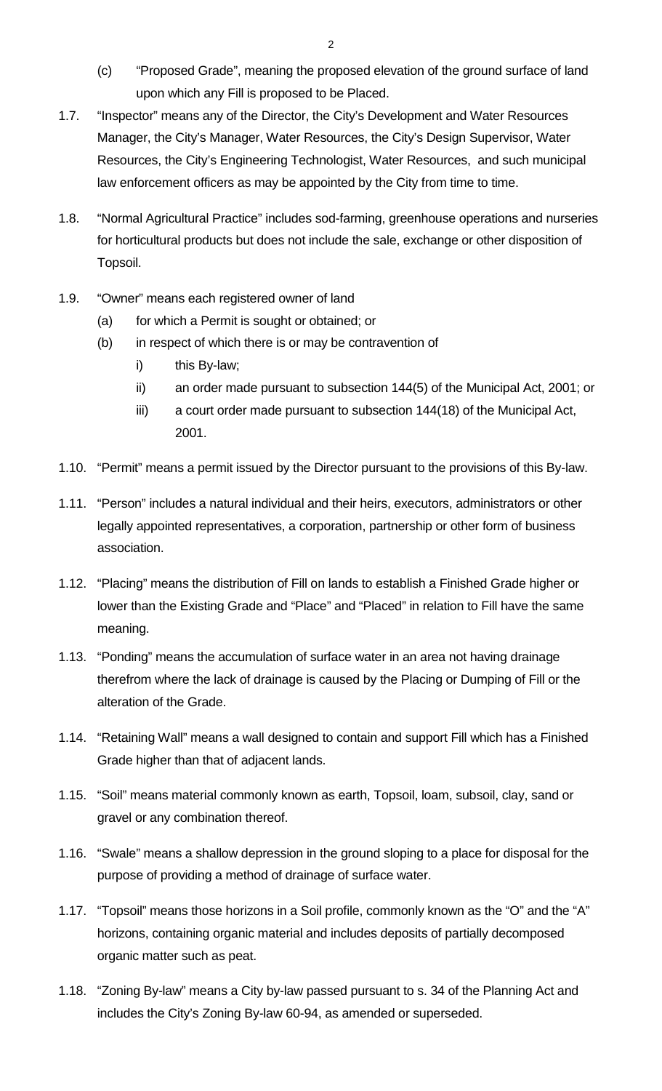- (c) "Proposed Grade", meaning the proposed elevation of the ground surface of land upon which any Fill is proposed to be Placed.
- 1.7. "Inspector" means any of the Director, the City's Development and Water Resources Manager, the City's Manager, Water Resources, the City's Design Supervisor, Water Resources, the City's Engineering Technologist, Water Resources, and such municipal law enforcement officers as may be appointed by the City from time to time.
- 1.8. "Normal Agricultural Practice" includes sod-farming, greenhouse operations and nurseries for horticultural products but does not include the sale, exchange or other disposition of Topsoil.
- 1.9. "Owner" means each registered owner of land
	- (a) for which a Permit is sought or obtained; or
	- (b) in respect of which there is or may be contravention of
		- i) this By-law;
		- ii) an order made pursuant to subsection 144(5) of the Municipal Act, 2001; or
		- iii) a court order made pursuant to subsection 144(18) of the Municipal Act, 2001.
- 1.10. "Permit" means a permit issued by the Director pursuant to the provisions of this By-law.
- 1.11. "Person" includes a natural individual and their heirs, executors, administrators or other legally appointed representatives, a corporation, partnership or other form of business association.
- 1.12. "Placing" means the distribution of Fill on lands to establish a Finished Grade higher or lower than the Existing Grade and "Place" and "Placed" in relation to Fill have the same meaning.
- 1.13. "Ponding" means the accumulation of surface water in an area not having drainage therefrom where the lack of drainage is caused by the Placing or Dumping of Fill or the alteration of the Grade.
- 1.14. "Retaining Wall" means a wall designed to contain and support Fill which has a Finished Grade higher than that of adjacent lands.
- 1.15. "Soil" means material commonly known as earth, Topsoil, loam, subsoil, clay, sand or gravel or any combination thereof.
- 1.16. "Swale" means a shallow depression in the ground sloping to a place for disposal for the purpose of providing a method of drainage of surface water.
- 1.17. "Topsoil" means those horizons in a Soil profile, commonly known as the "O" and the "A" horizons, containing organic material and includes deposits of partially decomposed organic matter such as peat.
- 1.18. "Zoning By-law" means a City by-law passed pursuant to s. 34 of the Planning Act and includes the City's Zoning By-law 60-94, as amended or superseded.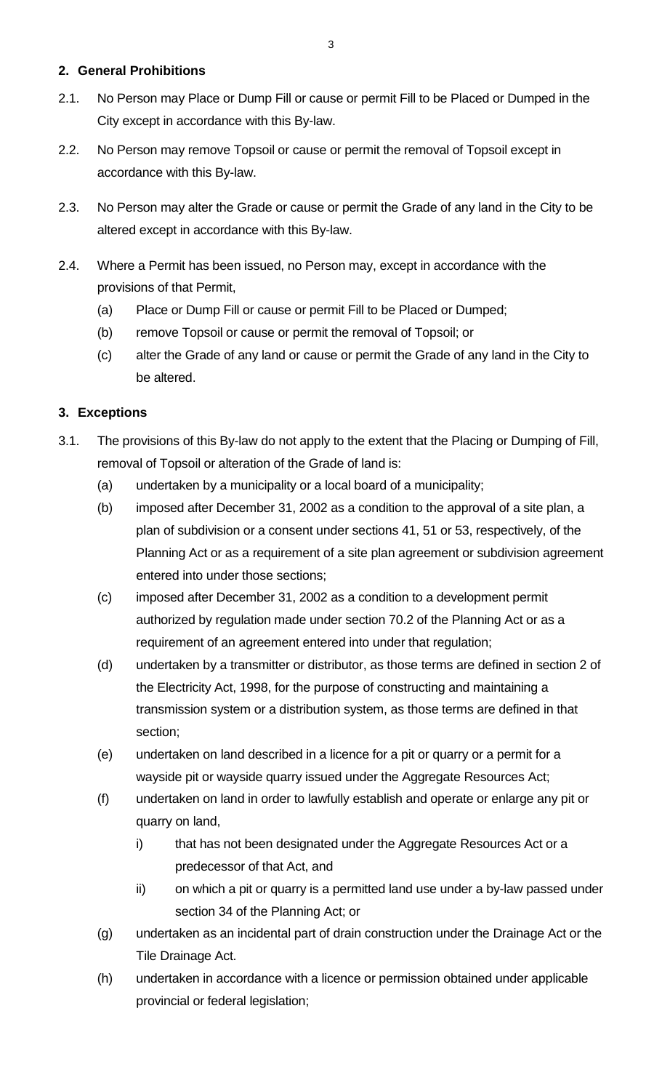### <span id="page-2-0"></span>**2. General Prohibitions**

- 2.1. No Person may Place or Dump Fill or cause or permit Fill to be Placed or Dumped in the City except in accordance with this By-law.
- 2.2. No Person may remove Topsoil or cause or permit the removal of Topsoil except in accordance with this By-law.
- 2.3. No Person may alter the Grade or cause or permit the Grade of any land in the City to be altered except in accordance with this By-law.
- 2.4. Where a Permit has been issued, no Person may, except in accordance with the provisions of that Permit,
	- (a) Place or Dump Fill or cause or permit Fill to be Placed or Dumped;
	- (b) remove Topsoil or cause or permit the removal of Topsoil; or
	- (c) alter the Grade of any land or cause or permit the Grade of any land in the City to be altered.

# <span id="page-2-1"></span>**3. Exceptions**

- 3.1. The provisions of this By-law do not apply to the extent that the Placing or Dumping of Fill, removal of Topsoil or alteration of the Grade of land is:
	- (a) undertaken by a municipality or a local board of a municipality;
	- (b) imposed after December 31, 2002 as a condition to the approval of a site plan, a plan of subdivision or a consent under sections 41, 51 or 53, respectively, of the Planning Act or as a requirement of a site plan agreement or subdivision agreement entered into under those sections;
	- (c) imposed after December 31, 2002 as a condition to a development permit authorized by regulation made under section 70.2 of the Planning Act or as a requirement of an agreement entered into under that regulation;
	- (d) undertaken by a transmitter or distributor, as those terms are defined in section 2 of the Electricity Act, 1998, for the purpose of constructing and maintaining a transmission system or a distribution system, as those terms are defined in that section;
	- (e) undertaken on land described in a licence for a pit or quarry or a permit for a wayside pit or wayside quarry issued under the Aggregate Resources Act;
	- (f) undertaken on land in order to lawfully establish and operate or enlarge any pit or quarry on land,
		- i) that has not been designated under the Aggregate Resources Act or a predecessor of that Act, and
		- ii) on which a pit or quarry is a permitted land use under a by-law passed under section 34 of the Planning Act; or
	- (g) undertaken as an incidental part of drain construction under the Drainage Act or the Tile Drainage Act.
	- (h) undertaken in accordance with a licence or permission obtained under applicable provincial or federal legislation;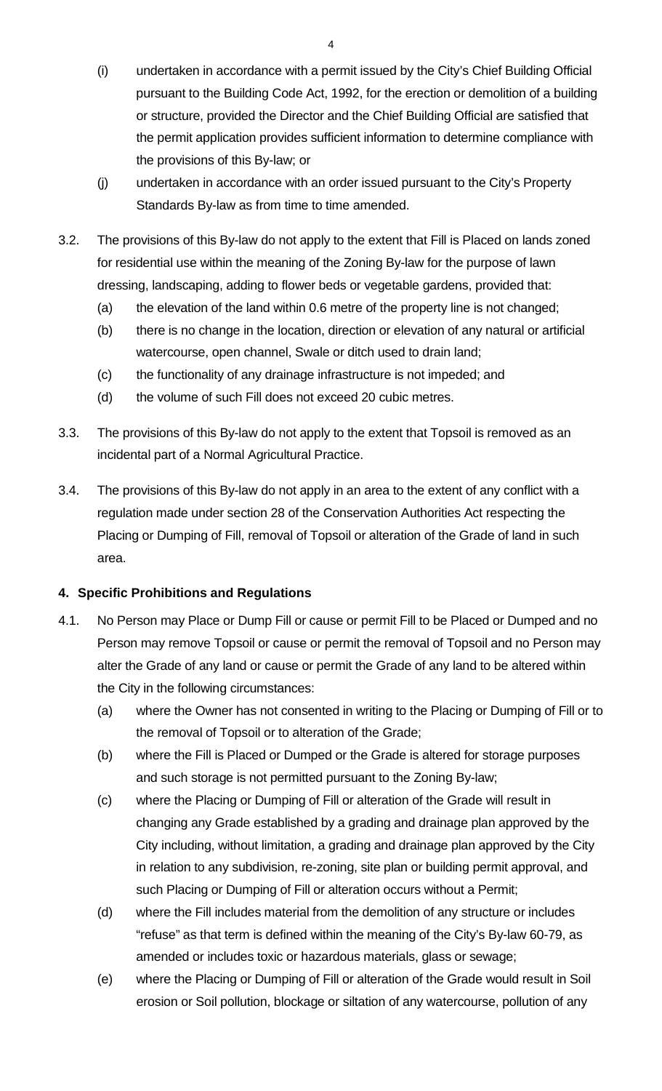- (i) undertaken in accordance with a permit issued by the City's Chief Building Official pursuant to the Building Code Act, 1992, for the erection or demolition of a building or structure, provided the Director and the Chief Building Official are satisfied that the permit application provides sufficient information to determine compliance with the provisions of this By-law; or
- (j) undertaken in accordance with an order issued pursuant to the City's Property Standards By-law as from time to time amended.
- 3.2. The provisions of this By-law do not apply to the extent that Fill is Placed on lands zoned for residential use within the meaning of the Zoning By-law for the purpose of lawn dressing, landscaping, adding to flower beds or vegetable gardens, provided that:
	- (a) the elevation of the land within 0.6 metre of the property line is not changed;
	- (b) there is no change in the location, direction or elevation of any natural or artificial watercourse, open channel, Swale or ditch used to drain land;
	- (c) the functionality of any drainage infrastructure is not impeded; and
	- (d) the volume of such Fill does not exceed 20 cubic metres.
- 3.3. The provisions of this By-law do not apply to the extent that Topsoil is removed as an incidental part of a Normal Agricultural Practice.
- 3.4. The provisions of this By-law do not apply in an area to the extent of any conflict with a regulation made under section 28 of the Conservation Authorities Act respecting the Placing or Dumping of Fill, removal of Topsoil or alteration of the Grade of land in such area.

# <span id="page-3-0"></span>**4. Specific Prohibitions and Regulations**

- 4.1. No Person may Place or Dump Fill or cause or permit Fill to be Placed or Dumped and no Person may remove Topsoil or cause or permit the removal of Topsoil and no Person may alter the Grade of any land or cause or permit the Grade of any land to be altered within the City in the following circumstances:
	- (a) where the Owner has not consented in writing to the Placing or Dumping of Fill or to the removal of Topsoil or to alteration of the Grade;
	- (b) where the Fill is Placed or Dumped or the Grade is altered for storage purposes and such storage is not permitted pursuant to the Zoning By-law;
	- (c) where the Placing or Dumping of Fill or alteration of the Grade will result in changing any Grade established by a grading and drainage plan approved by the City including, without limitation, a grading and drainage plan approved by the City in relation to any subdivision, re-zoning, site plan or building permit approval, and such Placing or Dumping of Fill or alteration occurs without a Permit;
	- (d) where the Fill includes material from the demolition of any structure or includes "refuse" as that term is defined within the meaning of the City's By-law 60-79, as amended or includes toxic or hazardous materials, glass or sewage;
	- (e) where the Placing or Dumping of Fill or alteration of the Grade would result in Soil erosion or Soil pollution, blockage or siltation of any watercourse, pollution of any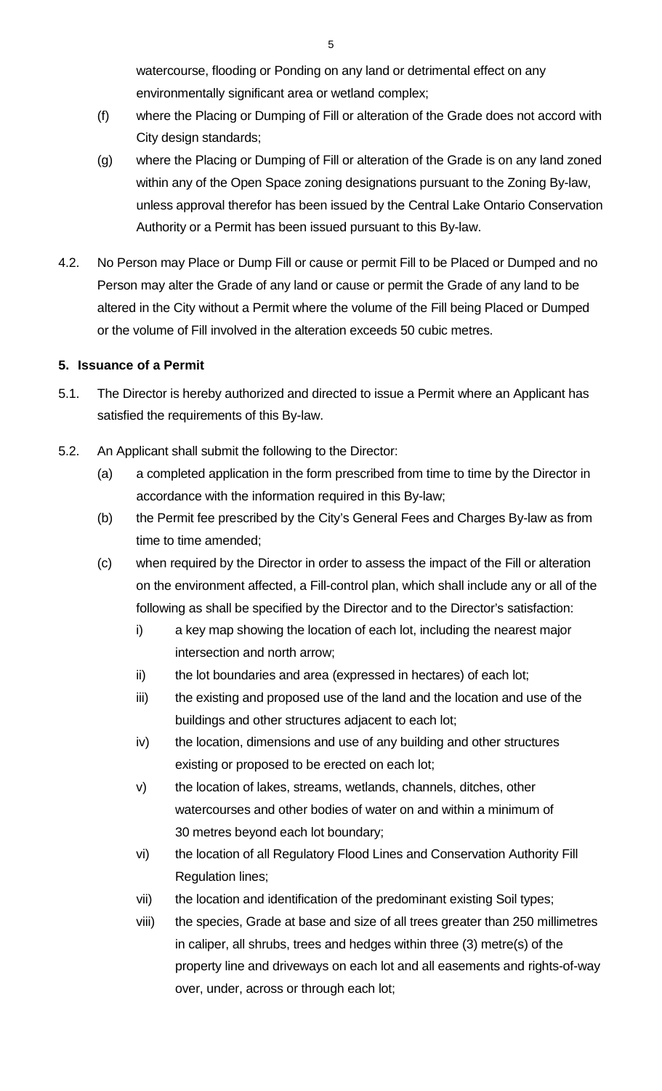watercourse, flooding or Ponding on any land or detrimental effect on any environmentally significant area or wetland complex;

- (f) where the Placing or Dumping of Fill or alteration of the Grade does not accord with City design standards;
- (g) where the Placing or Dumping of Fill or alteration of the Grade is on any land zoned within any of the Open Space zoning designations pursuant to the Zoning By-law, unless approval therefor has been issued by the Central Lake Ontario Conservation Authority or a Permit has been issued pursuant to this By-law.
- 4.2. No Person may Place or Dump Fill or cause or permit Fill to be Placed or Dumped and no Person may alter the Grade of any land or cause or permit the Grade of any land to be altered in the City without a Permit where the volume of the Fill being Placed or Dumped or the volume of Fill involved in the alteration exceeds 50 cubic metres.

# <span id="page-4-0"></span>**5. Issuance of a Permit**

- 5.1. The Director is hereby authorized and directed to issue a Permit where an Applicant has satisfied the requirements of this By-law.
- 5.2. An Applicant shall submit the following to the Director:
	- (a) a completed application in the form prescribed from time to time by the Director in accordance with the information required in this By-law;
	- (b) the Permit fee prescribed by the City's General Fees and Charges By-law as from time to time amended;
	- (c) when required by the Director in order to assess the impact of the Fill or alteration on the environment affected, a Fill-control plan, which shall include any or all of the following as shall be specified by the Director and to the Director's satisfaction:
		- i) a key map showing the location of each lot, including the nearest major intersection and north arrow;
		- ii) the lot boundaries and area (expressed in hectares) of each lot;
		- iii) the existing and proposed use of the land and the location and use of the buildings and other structures adjacent to each lot;
		- iv) the location, dimensions and use of any building and other structures existing or proposed to be erected on each lot;
		- v) the location of lakes, streams, wetlands, channels, ditches, other watercourses and other bodies of water on and within a minimum of 30 metres beyond each lot boundary;
		- vi) the location of all Regulatory Flood Lines and Conservation Authority Fill Regulation lines;
		- vii) the location and identification of the predominant existing Soil types;
		- viii) the species, Grade at base and size of all trees greater than 250 millimetres in caliper, all shrubs, trees and hedges within three (3) metre(s) of the property line and driveways on each lot and all easements and rights-of-way over, under, across or through each lot;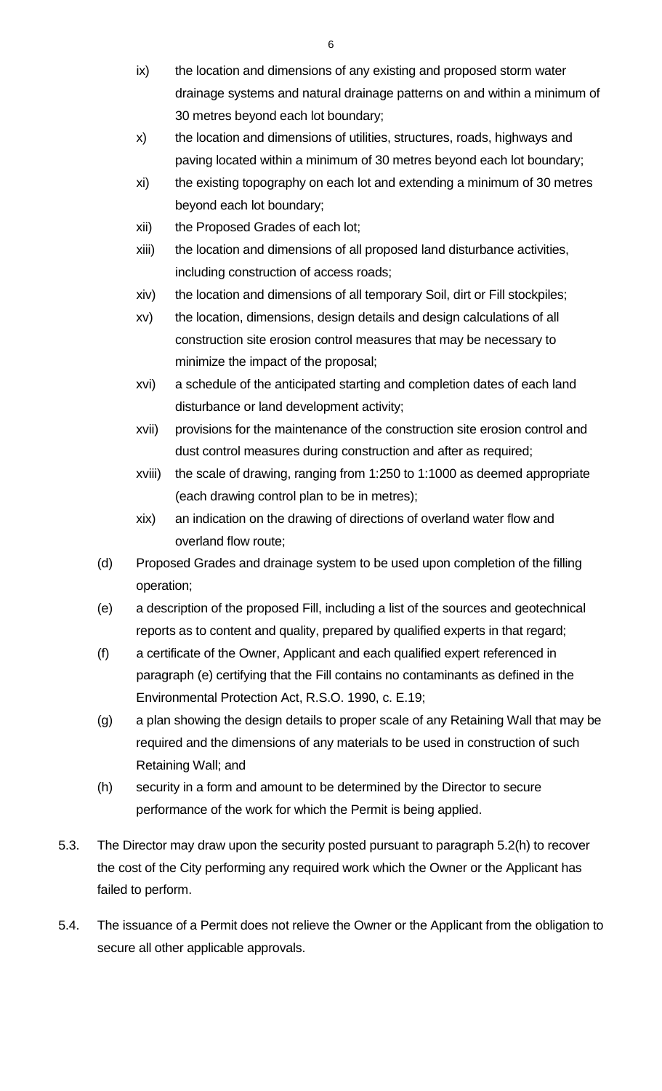- ix) the location and dimensions of any existing and proposed storm water drainage systems and natural drainage patterns on and within a minimum of 30 metres beyond each lot boundary;
- x) the location and dimensions of utilities, structures, roads, highways and paving located within a minimum of 30 metres beyond each lot boundary;
- xi) the existing topography on each lot and extending a minimum of 30 metres beyond each lot boundary;
- xii) the Proposed Grades of each lot;
- xiii) the location and dimensions of all proposed land disturbance activities, including construction of access roads;
- xiv) the location and dimensions of all temporary Soil, dirt or Fill stockpiles;
- xv) the location, dimensions, design details and design calculations of all construction site erosion control measures that may be necessary to minimize the impact of the proposal;
- xvi) a schedule of the anticipated starting and completion dates of each land disturbance or land development activity;
- xvii) provisions for the maintenance of the construction site erosion control and dust control measures during construction and after as required;
- xviii) the scale of drawing, ranging from 1:250 to 1:1000 as deemed appropriate (each drawing control plan to be in metres);
- xix) an indication on the drawing of directions of overland water flow and overland flow route;
- (d) Proposed Grades and drainage system to be used upon completion of the filling operation;
- <span id="page-5-0"></span>(e) a description of the proposed Fill, including a list of the sources and geotechnical reports as to content and quality, prepared by qualified experts in that regard;
- (f) a certificate of the Owner, Applicant and each qualified expert referenced in paragraph [\(e\)](#page-5-0) certifying that the Fill contains no contaminants as defined in the Environmental Protection Act, R.S.O. 1990, c. E.19;
- (g) a plan showing the design details to proper scale of any Retaining Wall that may be required and the dimensions of any materials to be used in construction of such Retaining Wall; and
- <span id="page-5-1"></span>(h) security in a form and amount to be determined by the Director to secure performance of the work for which the Permit is being applied.
- 5.3. The Director may draw upon the security posted pursuant to paragraph [5.2\(h\)](#page-5-1) to recover the cost of the City performing any required work which the Owner or the Applicant has failed to perform.
- 5.4. The issuance of a Permit does not relieve the Owner or the Applicant from the obligation to secure all other applicable approvals.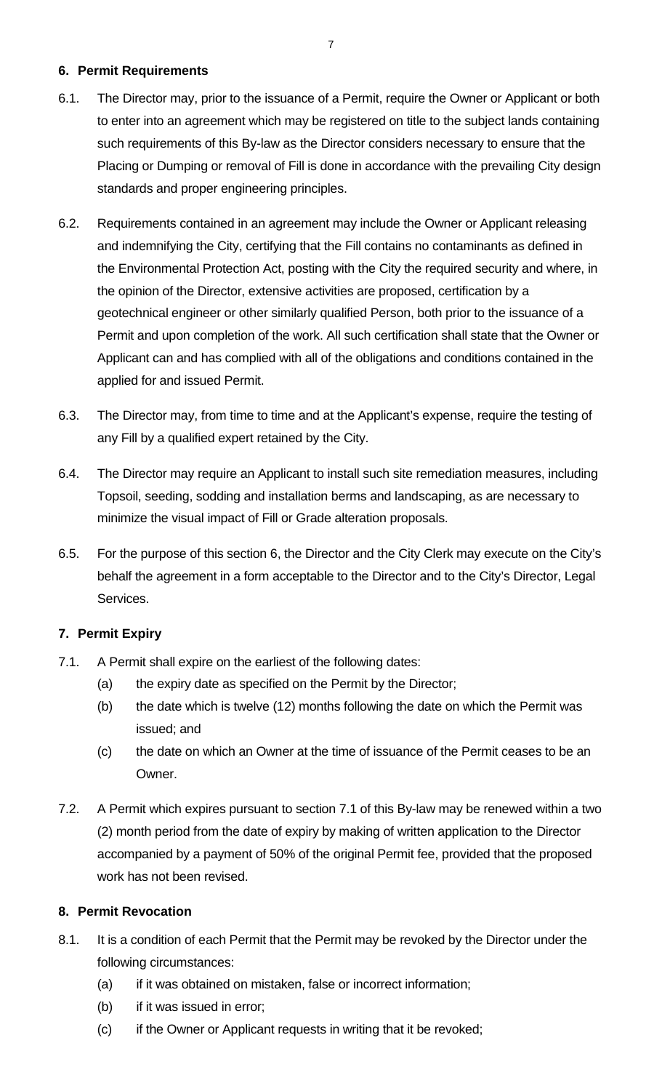#### <span id="page-6-0"></span>**6. Permit Requirements**

- 6.1. The Director may, prior to the issuance of a Permit, require the Owner or Applicant or both to enter into an agreement which may be registered on title to the subject lands containing such requirements of this By-law as the Director considers necessary to ensure that the Placing or Dumping or removal of Fill is done in accordance with the prevailing City design standards and proper engineering principles.
- 6.2. Requirements contained in an agreement may include the Owner or Applicant releasing and indemnifying the City, certifying that the Fill contains no contaminants as defined in the Environmental Protection Act, posting with the City the required security and where, in the opinion of the Director, extensive activities are proposed, certification by a geotechnical engineer or other similarly qualified Person, both prior to the issuance of a Permit and upon completion of the work. All such certification shall state that the Owner or Applicant can and has complied with all of the obligations and conditions contained in the applied for and issued Permit.
- 6.3. The Director may, from time to time and at the Applicant's expense, require the testing of any Fill by a qualified expert retained by the City.
- 6.4. The Director may require an Applicant to install such site remediation measures, including Topsoil, seeding, sodding and installation berms and landscaping, as are necessary to minimize the visual impact of Fill or Grade alteration proposals.
- 6.5. For the purpose of this section [6,](#page-6-0) the Director and the City Clerk may execute on the City's behalf the agreement in a form acceptable to the Director and to the City's Director, Legal Services.

# <span id="page-6-1"></span>**7. Permit Expiry**

- <span id="page-6-3"></span>7.1. A Permit shall expire on the earliest of the following dates:
	- (a) the expiry date as specified on the Permit by the Director;
	- (b) the date which is twelve (12) months following the date on which the Permit was issued; and
	- (c) the date on which an Owner at the time of issuance of the Permit ceases to be an Owner.
- 7.2. A Permit which expires pursuant to section [7.1](#page-6-3) of this By-law may be renewed within a two (2) month period from the date of expiry by making of written application to the Director accompanied by a payment of 50% of the original Permit fee, provided that the proposed work has not been revised.

# <span id="page-6-2"></span>**8. Permit Revocation**

- 8.1. It is a condition of each Permit that the Permit may be revoked by the Director under the following circumstances:
	- (a) if it was obtained on mistaken, false or incorrect information;
	- (b) if it was issued in error;
	- (c) if the Owner or Applicant requests in writing that it be revoked;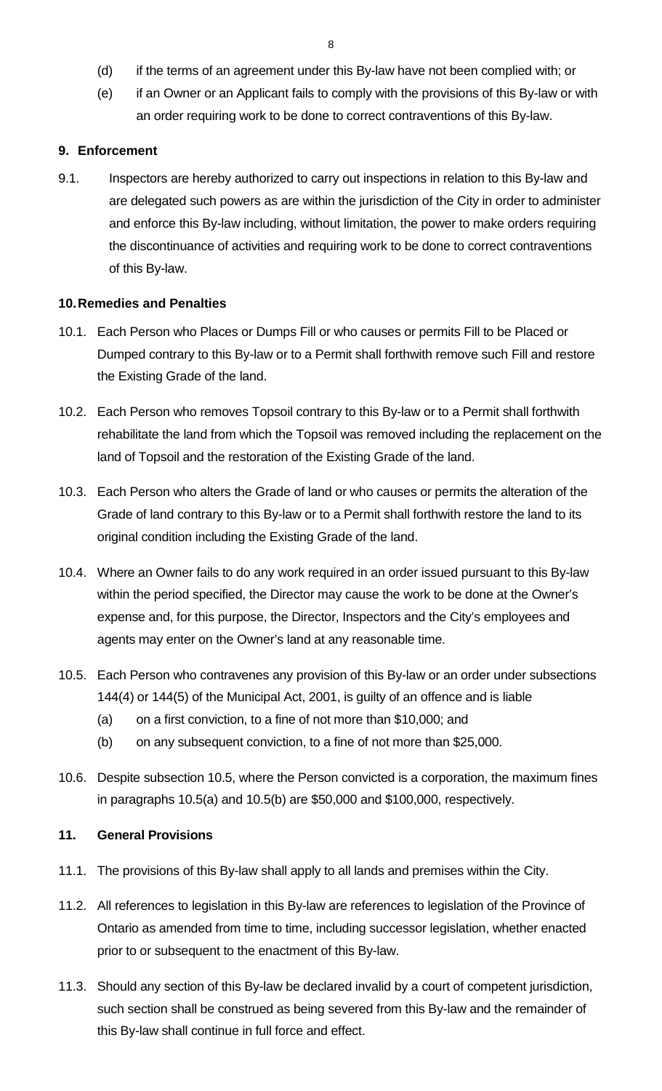- (d) if the terms of an agreement under this By-law have not been complied with; or
- (e) if an Owner or an Applicant fails to comply with the provisions of this By-law or with an order requiring work to be done to correct contraventions of this By-law.

#### <span id="page-7-0"></span>**9. Enforcement**

9.1. Inspectors are hereby authorized to carry out inspections in relation to this By-law and are delegated such powers as are within the jurisdiction of the City in order to administer and enforce this By-law including, without limitation, the power to make orders requiring the discontinuance of activities and requiring work to be done to correct contraventions of this By-law.

#### <span id="page-7-1"></span>**10.Remedies and Penalties**

- 10.1. Each Person who Places or Dumps Fill or who causes or permits Fill to be Placed or Dumped contrary to this By-law or to a Permit shall forthwith remove such Fill and restore the Existing Grade of the land.
- 10.2. Each Person who removes Topsoil contrary to this By-law or to a Permit shall forthwith rehabilitate the land from which the Topsoil was removed including the replacement on the land of Topsoil and the restoration of the Existing Grade of the land.
- 10.3. Each Person who alters the Grade of land or who causes or permits the alteration of the Grade of land contrary to this By-law or to a Permit shall forthwith restore the land to its original condition including the Existing Grade of the land.
- 10.4. Where an Owner fails to do any work required in an order issued pursuant to this By-law within the period specified, the Director may cause the work to be done at the Owner's expense and, for this purpose, the Director, Inspectors and the City's employees and agents may enter on the Owner's land at any reasonable time.
- <span id="page-7-4"></span><span id="page-7-3"></span>10.5. Each Person who contravenes any provision of this By-law or an order under subsections 144(4) or 144(5) of the Municipal Act, 2001, is guilty of an offence and is liable
	- (a) on a first conviction, to a fine of not more than \$10,000; and
	- (b) on any subsequent conviction, to a fine of not more than \$25,000.
- <span id="page-7-5"></span>10.6. Despite subsection [10.5,](#page-7-3) where the Person convicted is a corporation, the maximum fines in paragraphs [10.5\(a\)](#page-7-4) and [10.5\(b\)](#page-7-5) are \$50,000 and \$100,000, respectively.

#### <span id="page-7-2"></span>**11. General Provisions**

- 11.1. The provisions of this By-law shall apply to all lands and premises within the City.
- 11.2. All references to legislation in this By-law are references to legislation of the Province of Ontario as amended from time to time, including successor legislation, whether enacted prior to or subsequent to the enactment of this By-law.
- 11.3. Should any section of this By-law be declared invalid by a court of competent jurisdiction, such section shall be construed as being severed from this By-law and the remainder of this By-law shall continue in full force and effect.